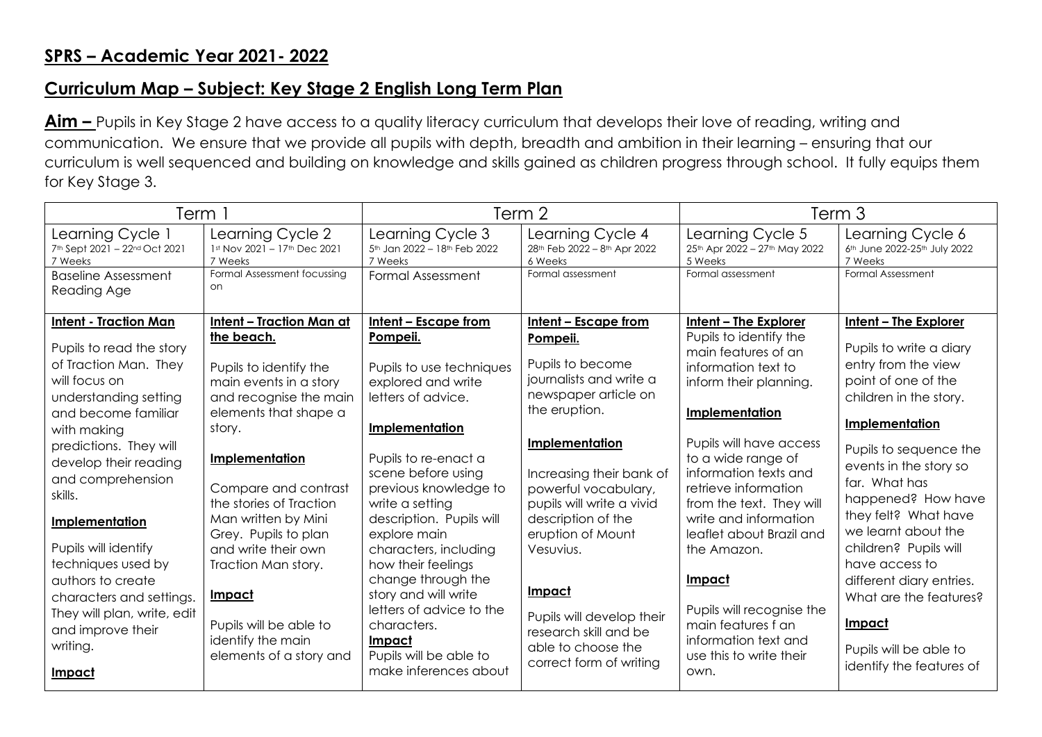## **SPRS – Academic Year 2021- 2022**

## **Curriculum Map – Subject: Key Stage 2 English Long Term Plan**

**Aim –** Pupils in Key Stage 2 have access to a quality literacy curriculum that develops their love of reading, writing and communication. We ensure that we provide all pupils with depth, breadth and ambition in their learning – ensuring that our curriculum is well sequenced and building on knowledge and skills gained as children progress through school. It fully equips them for Key Stage 3.

| Term 1                                                                                                                                                                                                                                                                                                                                                                                                                                                 |                                                                                                                                                                                                                                                                                                                                                                                                                             | Term 2                                                                                                                                                                                                                                                                                                                                                                                                                                                                |                                                                                                                                                                                                                                                                                                                                                                                                      | Term 3                                                                                                                                                                                                                                                                                                                                                                                                                                                              |                                                                                                                                                                                                                                                                                                                                                                                                                                                              |
|--------------------------------------------------------------------------------------------------------------------------------------------------------------------------------------------------------------------------------------------------------------------------------------------------------------------------------------------------------------------------------------------------------------------------------------------------------|-----------------------------------------------------------------------------------------------------------------------------------------------------------------------------------------------------------------------------------------------------------------------------------------------------------------------------------------------------------------------------------------------------------------------------|-----------------------------------------------------------------------------------------------------------------------------------------------------------------------------------------------------------------------------------------------------------------------------------------------------------------------------------------------------------------------------------------------------------------------------------------------------------------------|------------------------------------------------------------------------------------------------------------------------------------------------------------------------------------------------------------------------------------------------------------------------------------------------------------------------------------------------------------------------------------------------------|---------------------------------------------------------------------------------------------------------------------------------------------------------------------------------------------------------------------------------------------------------------------------------------------------------------------------------------------------------------------------------------------------------------------------------------------------------------------|--------------------------------------------------------------------------------------------------------------------------------------------------------------------------------------------------------------------------------------------------------------------------------------------------------------------------------------------------------------------------------------------------------------------------------------------------------------|
| Learning Cycle 1<br>7th Sept 2021 - 22nd Oct 2021<br>7 Weeks                                                                                                                                                                                                                                                                                                                                                                                           | Learning Cycle 2<br>1st Nov 2021 - 17th Dec 2021<br>7 Weeks                                                                                                                                                                                                                                                                                                                                                                 | Learning Cycle 3<br>5th Jan 2022 - 18th Feb 2022<br>7 Weeks                                                                                                                                                                                                                                                                                                                                                                                                           | Learning Cycle 4<br>28 <sup>th</sup> Feb 2022 - 8 <sup>th</sup> Apr 2022<br>6 Weeks                                                                                                                                                                                                                                                                                                                  | Learning Cycle 5<br>25th Apr 2022 - 27th May 2022<br>5 Weeks                                                                                                                                                                                                                                                                                                                                                                                                        | Learning Cycle 6<br>6 <sup>th</sup> June 2022-25 <sup>th</sup> July 2022<br>7 Weeks                                                                                                                                                                                                                                                                                                                                                                          |
| <b>Baseline Assessment</b><br>Reading Age                                                                                                                                                                                                                                                                                                                                                                                                              | Formal Assessment focussing<br>on                                                                                                                                                                                                                                                                                                                                                                                           | <b>Formal Assessment</b>                                                                                                                                                                                                                                                                                                                                                                                                                                              | Formal assessment                                                                                                                                                                                                                                                                                                                                                                                    | Formal assessment                                                                                                                                                                                                                                                                                                                                                                                                                                                   | <b>Formal Assessment</b>                                                                                                                                                                                                                                                                                                                                                                                                                                     |
| <b>Intent - Traction Man</b><br>Pupils to read the story<br>of Traction Man. They<br>will focus on<br>understanding setting<br>and become familiar<br>with making<br>predictions. They will<br>develop their reading<br>and comprehension<br>skills.<br>Implementation<br>Pupils will identify<br>techniques used by<br>authors to create<br>characters and settings.<br>They will plan, write, edit<br>and improve their<br>writing.<br><u>Impact</u> | <b>Intent - Traction Man at</b><br>the beach.<br>Pupils to identify the<br>main events in a story<br>and recognise the main<br>elements that shape a<br>story.<br>Implementation<br>Compare and contrast<br>the stories of Traction<br>Man written by Mini<br>Grey. Pupils to plan<br>and write their own<br>Traction Man story.<br><u>Impact</u><br>Pupils will be able to<br>identify the main<br>elements of a story and | Intent - Escape from<br>Pompeii.<br>Pupils to use techniques<br>explored and write<br>letters of advice.<br>Implementation<br>Pupils to re-enact a<br>scene before using<br>previous knowledge to<br>write a setting<br>description. Pupils will<br>explore main<br>characters, including<br>how their feelings<br>change through the<br>story and will write<br>letters of advice to the<br>characters.<br>Impact<br>Pupils will be able to<br>make inferences about | Intent - Escape from<br>Pompeii.<br>Pupils to become<br>journalists and write a<br>newspaper article on<br>the eruption.<br>Implementation<br>Increasing their bank of<br>powerful vocabulary,<br>pupils will write a vivid<br>description of the<br>eruption of Mount<br>Vesuvius.<br>Impact<br>Pupils will develop their<br>research skill and be<br>able to choose the<br>correct form of writing | Intent - The Explorer<br>Pupils to identify the<br>main features of an<br>information text to<br>inform their planning.<br>Implementation<br>Pupils will have access<br>to a wide range of<br>information texts and<br>retrieve information<br>from the text. They will<br>write and information<br>leaflet about Brazil and<br>the Amazon.<br>Impact<br>Pupils will recognise the<br>main features f an<br>information text and<br>use this to write their<br>own. | <b>Intent - The Explorer</b><br>Pupils to write a diary<br>entry from the view<br>point of one of the<br>children in the story.<br>Implementation<br>Pupils to sequence the<br>events in the story so<br>far. What has<br>happened? How have<br>they felt? What have<br>we learnt about the<br>children? Pupils will<br>have access to<br>different diary entries.<br>What are the features?<br>Impact<br>Pupils will be able to<br>identify the features of |